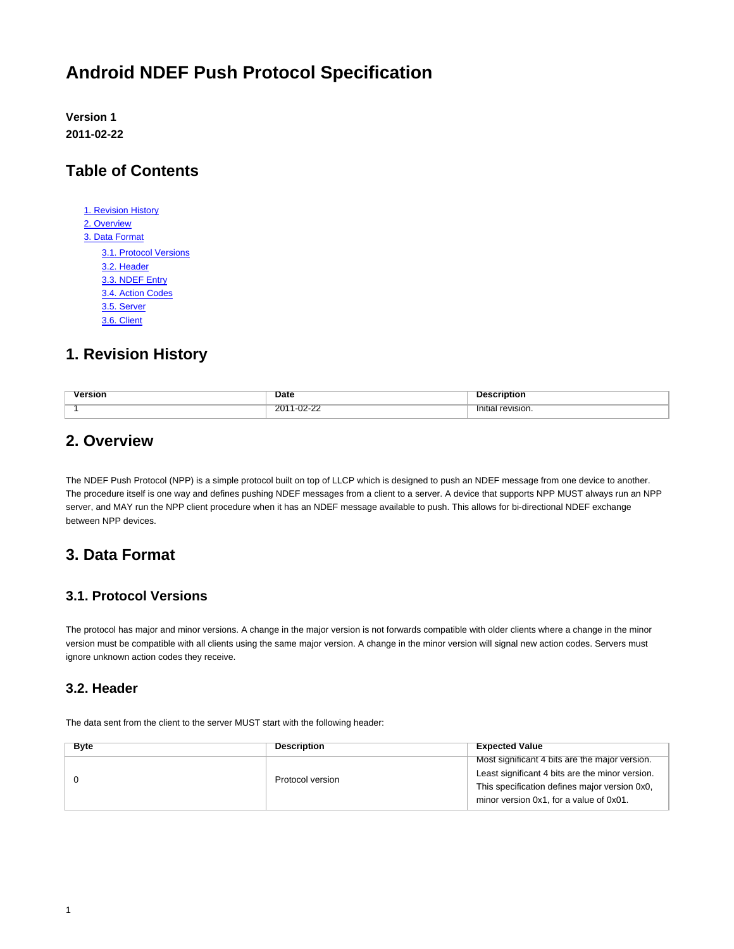# **Android NDEF Push Protocol Specification**

**Version 1 2011-02-22**

# **Table of Contents**

| 1. Revision History    |
|------------------------|
| 2. Overview            |
| 3. Data Format         |
| 3.1. Protocol Versions |
| 3.2. Header            |
| 3.3. NDEF Entry        |
| 3.4. Action Codes      |
| 3.5. Server            |
| 3.6. Client            |
|                        |

# <span id="page-0-0"></span>**1. Revision History**

| sion | <b>Date</b>                                                       | пог                        |
|------|-------------------------------------------------------------------|----------------------------|
|      | $\overline{a}$<br>$\overline{p}$<br>$20^{\circ}$<br>---<br>______ | ' revision.<br>Initia<br>. |

### <span id="page-0-1"></span>**2. Overview**

The NDEF Push Protocol (NPP) is a simple protocol built on top of LLCP which is designed to push an NDEF message from one device to another. The procedure itself is one way and defines pushing NDEF messages from a client to a server. A device that supports NPP MUST always run an NPP server, and MAY run the NPP client procedure when it has an NDEF message available to push. This allows for bi-directional NDEF exchange between NPP devices.

# <span id="page-0-2"></span>**3. Data Format**

#### <span id="page-0-3"></span>**3.1. Protocol Versions**

The protocol has major and minor versions. A change in the major version is not forwards compatible with older clients where a change in the minor version must be compatible with all clients using the same major version. A change in the minor version will signal new action codes. Servers must ignore unknown action codes they receive.

#### <span id="page-0-4"></span>**3.2. Header**

The data sent from the client to the server MUST start with the following header:

| <b>Byte</b>      | <b>Description</b> | <b>Expected Value</b>                           |
|------------------|--------------------|-------------------------------------------------|
|                  |                    | Most significant 4 bits are the major version.  |
| Protocol version |                    | Least significant 4 bits are the minor version. |
|                  |                    | This specification defines major version 0x0,   |
|                  |                    | minor version 0x1, for a value of 0x01.         |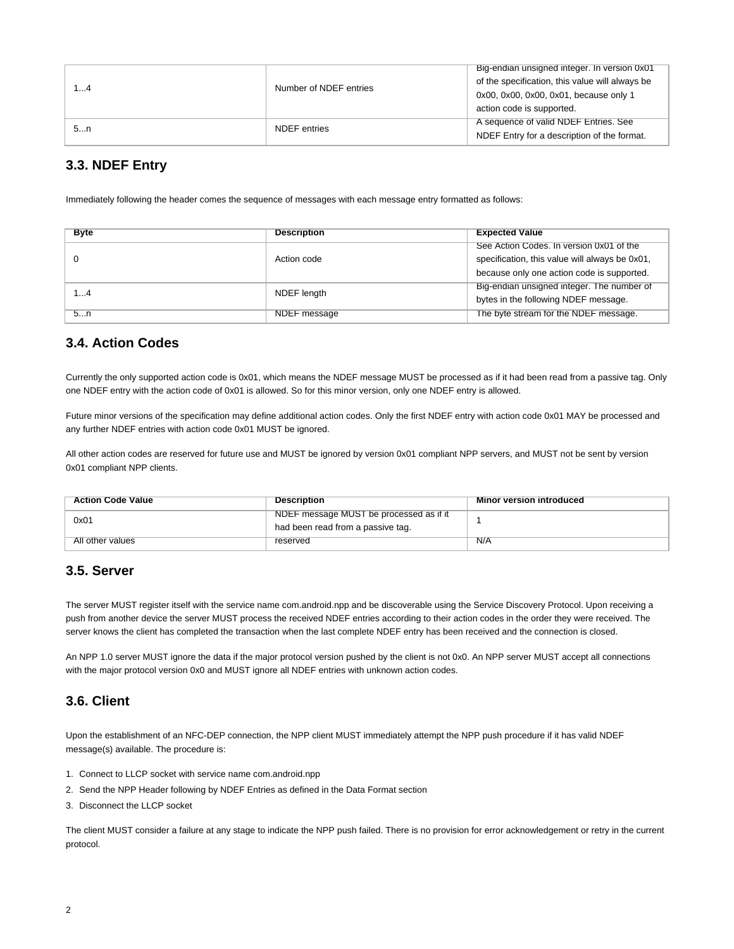| 14 | Number of NDEF entries | Big-endian unsigned integer. In version 0x01<br>of the specification, this value will always be<br>0x00, 0x00, 0x00, 0x01, because only 1<br>action code is supported. |
|----|------------------------|------------------------------------------------------------------------------------------------------------------------------------------------------------------------|
| 5n | NDEF entries           | A sequence of valid NDEF Entries. See<br>NDEF Entry for a description of the format.                                                                                   |

#### <span id="page-1-0"></span>**3.3. NDEF Entry**

Immediately following the header comes the sequence of messages with each message entry formatted as follows:

| <b>Byte</b> | <b>Description</b> | <b>Expected Value</b>                          |
|-------------|--------------------|------------------------------------------------|
|             | Action code        | See Action Codes. In version 0x01 of the       |
|             |                    | specification, this value will always be 0x01, |
|             |                    | because only one action code is supported.     |
| 14          | NDEF length        | Big-endian unsigned integer. The number of     |
|             |                    | bytes in the following NDEF message.           |
| 5n          | NDEF message       | The byte stream for the NDEF message.          |

#### <span id="page-1-1"></span>**3.4. Action Codes**

Currently the only supported action code is 0x01, which means the NDEF message MUST be processed as if it had been read from a passive tag. Only one NDEF entry with the action code of 0x01 is allowed. So for this minor version, only one NDEF entry is allowed.

Future minor versions of the specification may define additional action codes. Only the first NDEF entry with action code 0x01 MAY be processed and any further NDEF entries with action code 0x01 MUST be ignored.

All other action codes are reserved for future use and MUST be ignored by version 0x01 compliant NPP servers, and MUST not be sent by version 0x01 compliant NPP clients.

| <b>Action Code Value</b> | <b>Description</b>                                                           | <b>Minor version introduced</b> |
|--------------------------|------------------------------------------------------------------------------|---------------------------------|
| 0x01                     | NDEF message MUST be processed as if it<br>had been read from a passive tag. |                                 |
| All other values         | reserved                                                                     | N/A                             |

#### <span id="page-1-2"></span>**3.5. Server**

The server MUST register itself with the service name com.android.npp and be discoverable using the Service Discovery Protocol. Upon receiving a push from another device the server MUST process the received NDEF entries according to their action codes in the order they were received. The server knows the client has completed the transaction when the last complete NDEF entry has been received and the connection is closed.

An NPP 1.0 server MUST ignore the data if the major protocol version pushed by the client is not 0x0. An NPP server MUST accept all connections with the major protocol version 0x0 and MUST ignore all NDEF entries with unknown action codes.

#### <span id="page-1-3"></span>**3.6. Client**

Upon the establishment of an NFC-DEP connection, the NPP client MUST immediately attempt the NPP push procedure if it has valid NDEF message(s) available. The procedure is:

- 1. Connect to LLCP socket with service name com.android.npp
- 2. Send the NPP Header following by NDEF Entries as defined in the Data Format section
- 3. Disconnect the LLCP socket

The client MUST consider a failure at any stage to indicate the NPP push failed. There is no provision for error acknowledgement or retry in the current protocol.